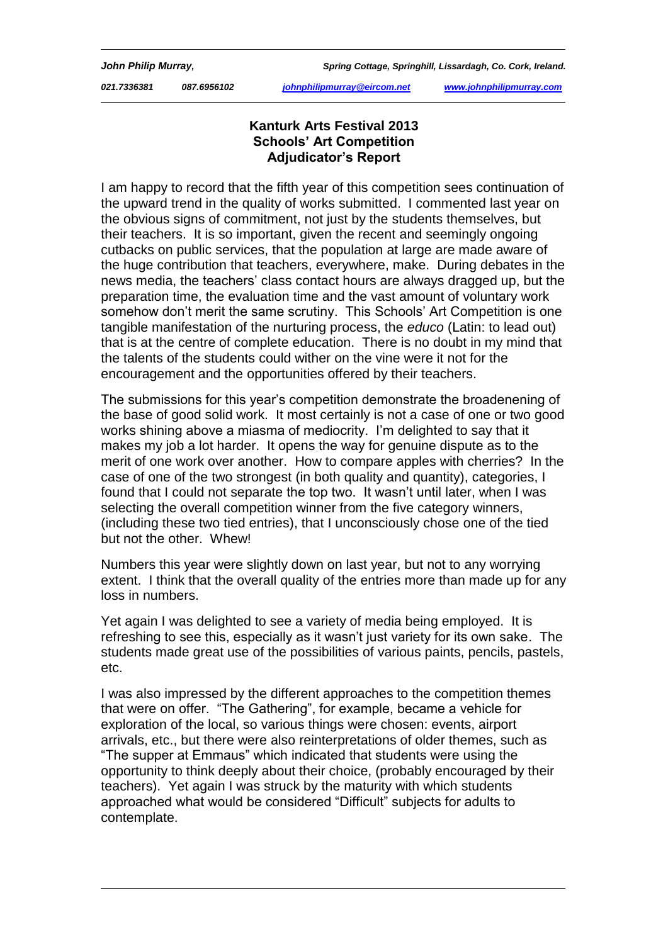*021.7336381 087.6956102 johnphilipmurray@eircom.net www.johnphilipmurray.com*

## **Kanturk Arts Festival 2013 Schools' Art Competition Adjudicator's Report**

I am happy to record that the fifth year of this competition sees continuation of the upward trend in the quality of works submitted. I commented last year on the obvious signs of commitment, not just by the students themselves, but their teachers. It is so important, given the recent and seemingly ongoing cutbacks on public services, that the population at large are made aware of the huge contribution that teachers, everywhere, make. During debates in the news media, the teachers' class contact hours are always dragged up, but the preparation time, the evaluation time and the vast amount of voluntary work somehow don't merit the same scrutiny. This Schools' Art Competition is one tangible manifestation of the nurturing process, the *educo* (Latin: to lead out) that is at the centre of complete education. There is no doubt in my mind that the talents of the students could wither on the vine were it not for the encouragement and the opportunities offered by their teachers.

The submissions for this year's competition demonstrate the broadenening of the base of good solid work. It most certainly is not a case of one or two good works shining above a miasma of mediocrity. I'm delighted to say that it makes my job a lot harder. It opens the way for genuine dispute as to the merit of one work over another. How to compare apples with cherries? In the case of one of the two strongest (in both quality and quantity), categories, I found that I could not separate the top two. It wasn't until later, when I was selecting the overall competition winner from the five category winners, (including these two tied entries), that I unconsciously chose one of the tied but not the other. Whew!

Numbers this year were slightly down on last year, but not to any worrying extent. I think that the overall quality of the entries more than made up for any loss in numbers.

Yet again I was delighted to see a variety of media being employed. It is refreshing to see this, especially as it wasn't just variety for its own sake. The students made great use of the possibilities of various paints, pencils, pastels, etc.

I was also impressed by the different approaches to the competition themes that were on offer. "The Gathering", for example, became a vehicle for exploration of the local, so various things were chosen: events, airport arrivals, etc., but there were also reinterpretations of older themes, such as "The supper at Emmaus" which indicated that students were using the opportunity to think deeply about their choice, (probably encouraged by their teachers). Yet again I was struck by the maturity with which students approached what would be considered "Difficult" subjects for adults to contemplate.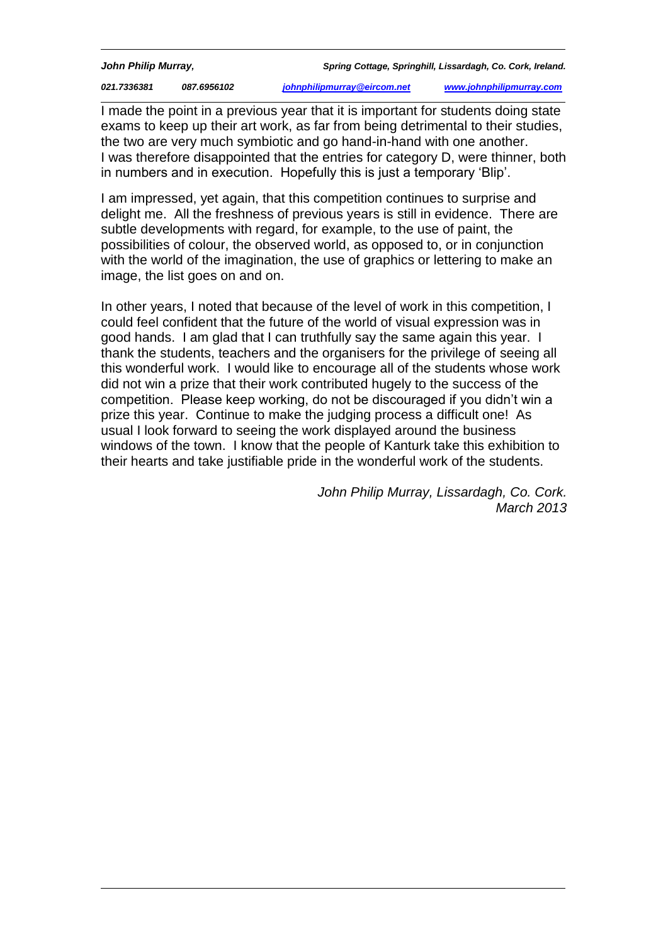*021.7336381 087.6956102 johnphilipmurray@eircom.net www.johnphilipmurray.com*

I made the point in a previous year that it is important for students doing state exams to keep up their art work, as far from being detrimental to their studies, the two are very much symbiotic and go hand-in-hand with one another. I was therefore disappointed that the entries for category D, were thinner, both in numbers and in execution. Hopefully this is just a temporary 'Blip'.

I am impressed, yet again, that this competition continues to surprise and delight me. All the freshness of previous years is still in evidence. There are subtle developments with regard, for example, to the use of paint, the possibilities of colour, the observed world, as opposed to, or in conjunction with the world of the imagination, the use of graphics or lettering to make an image, the list goes on and on.

In other years, I noted that because of the level of work in this competition, I could feel confident that the future of the world of visual expression was in good hands. I am glad that I can truthfully say the same again this year. I thank the students, teachers and the organisers for the privilege of seeing all this wonderful work. I would like to encourage all of the students whose work did not win a prize that their work contributed hugely to the success of the competition. Please keep working, do not be discouraged if you didn't win a prize this year. Continue to make the judging process a difficult one! As usual I look forward to seeing the work displayed around the business windows of the town. I know that the people of Kanturk take this exhibition to their hearts and take justifiable pride in the wonderful work of the students.

> *John Philip Murray, Lissardagh, Co. Cork. March 2013*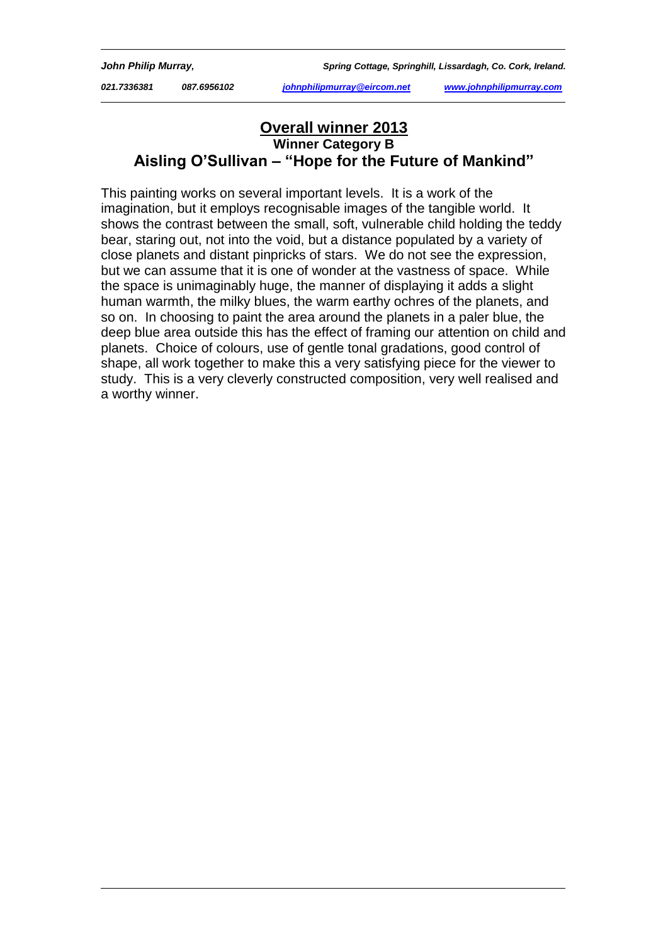*021.7336381 087.6956102 johnphilipmurray@eircom.net www.johnphilipmurray.com*

# **Overall winner 2013 Winner Category B Aisling O'Sullivan – "Hope for the Future of Mankind"**

This painting works on several important levels. It is a work of the imagination, but it employs recognisable images of the tangible world. It shows the contrast between the small, soft, vulnerable child holding the teddy bear, staring out, not into the void, but a distance populated by a variety of close planets and distant pinpricks of stars. We do not see the expression, but we can assume that it is one of wonder at the vastness of space. While the space is unimaginably huge, the manner of displaying it adds a slight human warmth, the milky blues, the warm earthy ochres of the planets, and so on. In choosing to paint the area around the planets in a paler blue, the deep blue area outside this has the effect of framing our attention on child and planets. Choice of colours, use of gentle tonal gradations, good control of shape, all work together to make this a very satisfying piece for the viewer to study. This is a very cleverly constructed composition, very well realised and a worthy winner.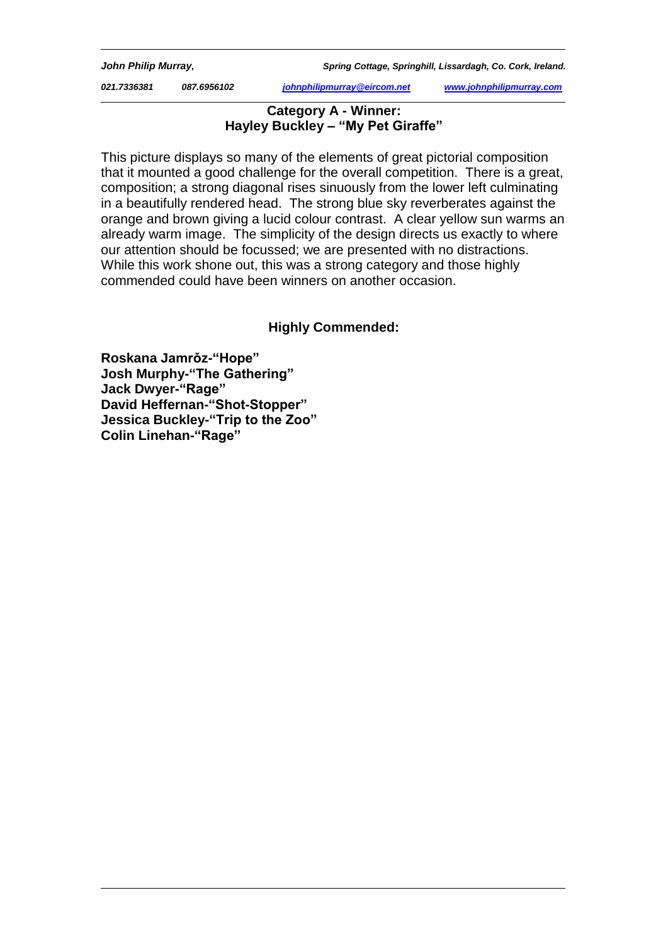*021.7336381 087.6956102 johnphilipmurray@eircom.net www.johnphilipmurray.com*

### **Category A - Winner: Hayley Buckley – "My Pet Giraffe"**

This picture displays so many of the elements of great pictorial composition that it mounted a good challenge for the overall competition. There is a great, composition; a strong diagonal rises sinuously from the lower left culminating in a beautifully rendered head. The strong blue sky reverberates against the orange and brown giving a lucid colour contrast. A clear yellow sun warms an already warm image. The simplicity of the design directs us exactly to where our attention should be focussed; we are presented with no distractions. While this work shone out, this was a strong category and those highly commended could have been winners on another occasion.

# **Highly Commended:**

**Roskana Jamrǒz-"Hope" Josh Murphy-"The Gathering" Jack Dwyer-"Rage" David Heffernan-"Shot-Stopper" Jessica Buckley-"Trip to the Zoo" Colin Linehan-"Rage"**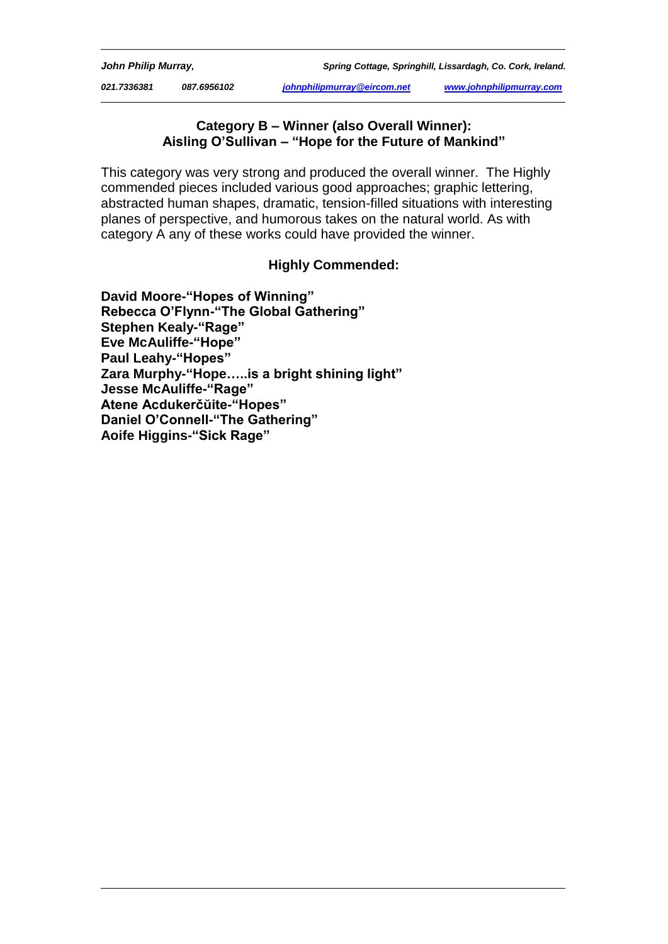*021.7336381 087.6956102 johnphilipmurray@eircom.net www.johnphilipmurray.com*

#### **Category B – Winner (also Overall Winner): Aisling O'Sullivan – "Hope for the Future of Mankind"**

This category was very strong and produced the overall winner. The Highly commended pieces included various good approaches; graphic lettering, abstracted human shapes, dramatic, tension-filled situations with interesting planes of perspective, and humorous takes on the natural world. As with category A any of these works could have provided the winner.

## **Highly Commended:**

**David Moore-"Hopes of Winning" Rebecca O'Flynn-"The Global Gathering" Stephen Kealy-"Rage" Eve McAuliffe-"Hope" Paul Leahy-"Hopes" Zara Murphy-"Hope…..is a bright shining light" Jesse McAuliffe-"Rage" Atene Acdukerčŭite-"Hopes" Daniel O'Connell-"The Gathering" Aoife Higgins-"Sick Rage"**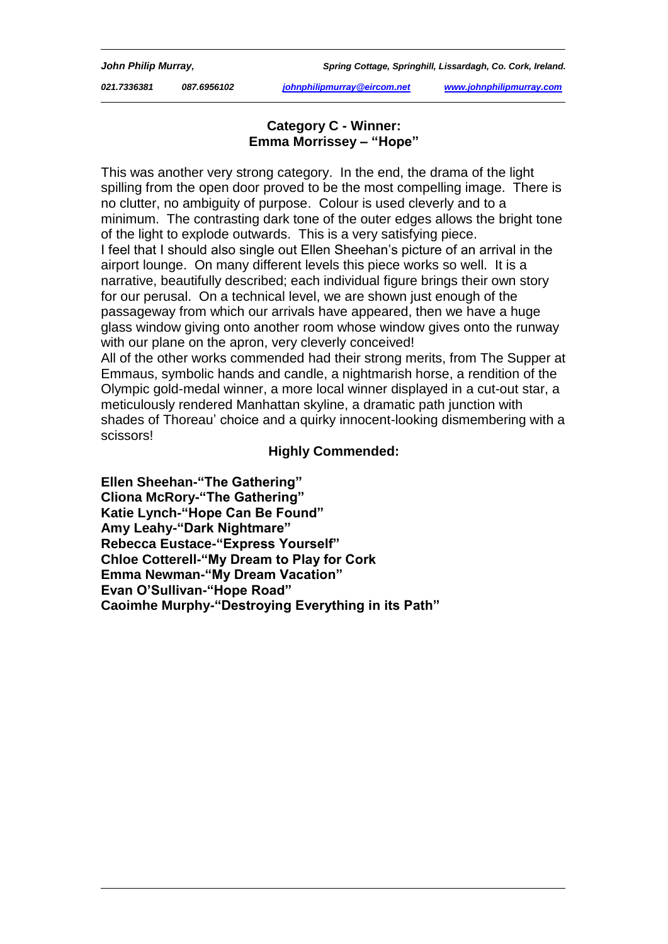*021.7336381 087.6956102 johnphilipmurray@eircom.net www.johnphilipmurray.com*

### **Category C - Winner: Emma Morrissey – "Hope"**

This was another very strong category. In the end, the drama of the light spilling from the open door proved to be the most compelling image. There is no clutter, no ambiguity of purpose. Colour is used cleverly and to a minimum. The contrasting dark tone of the outer edges allows the bright tone of the light to explode outwards. This is a very satisfying piece. I feel that I should also single out Ellen Sheehan's picture of an arrival in the airport lounge. On many different levels this piece works so well. It is a narrative, beautifully described; each individual figure brings their own story for our perusal. On a technical level, we are shown just enough of the passageway from which our arrivals have appeared, then we have a huge glass window giving onto another room whose window gives onto the runway with our plane on the apron, very cleverly conceived!

All of the other works commended had their strong merits, from The Supper at Emmaus, symbolic hands and candle, a nightmarish horse, a rendition of the Olympic gold-medal winner, a more local winner displayed in a cut-out star, a meticulously rendered Manhattan skyline, a dramatic path junction with shades of Thoreau' choice and a quirky innocent-looking dismembering with a scissors!

## **Highly Commended:**

**Ellen Sheehan-"The Gathering" Cliona McRory-"The Gathering" Katie Lynch-"Hope Can Be Found" Amy Leahy-"Dark Nightmare" Rebecca Eustace-"Express Yourself" Chloe Cotterell-"My Dream to Play for Cork Emma Newman-"My Dream Vacation" Evan O'Sullivan-"Hope Road" Caoimhe Murphy-"Destroying Everything in its Path"**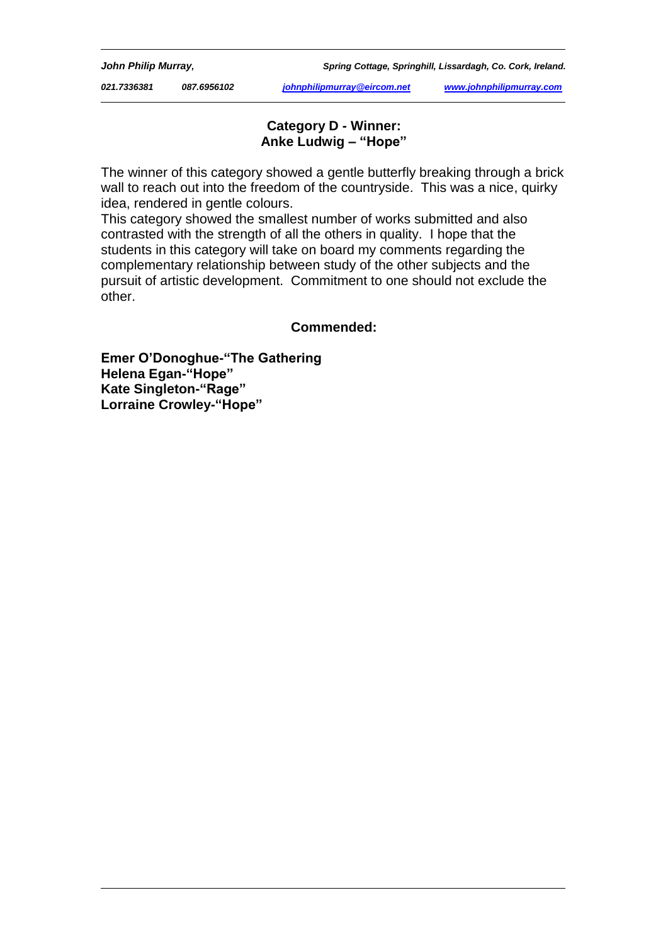*021.7336381 087.6956102 johnphilipmurray@eircom.net www.johnphilipmurray.com*

## **Category D - Winner: Anke Ludwig – "Hope"**

The winner of this category showed a gentle butterfly breaking through a brick wall to reach out into the freedom of the countryside. This was a nice, quirky idea, rendered in gentle colours.

This category showed the smallest number of works submitted and also contrasted with the strength of all the others in quality. I hope that the students in this category will take on board my comments regarding the complementary relationship between study of the other subjects and the pursuit of artistic development. Commitment to one should not exclude the other.

#### **Commended:**

**Emer O'Donoghue-"The Gathering Helena Egan-"Hope" Kate Singleton-"Rage" Lorraine Crowley-"Hope"**